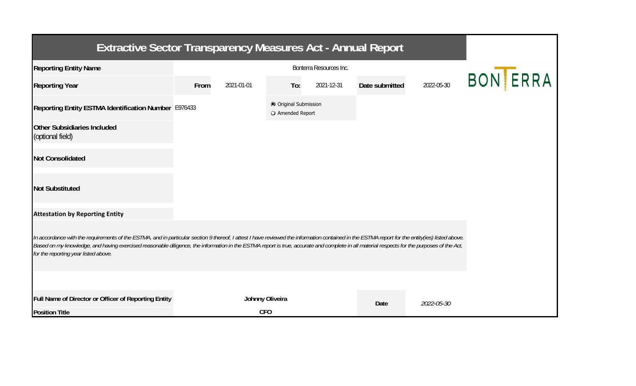| <b>Extractive Sector Transparency Measures Act - Annual Report</b>                                                                                                                                                                                                                                                                                                                                                                    |      |                 |                                           |            |                |            |                 |
|---------------------------------------------------------------------------------------------------------------------------------------------------------------------------------------------------------------------------------------------------------------------------------------------------------------------------------------------------------------------------------------------------------------------------------------|------|-----------------|-------------------------------------------|------------|----------------|------------|-----------------|
| <b>Reporting Entity Name</b>                                                                                                                                                                                                                                                                                                                                                                                                          |      |                 |                                           |            |                |            |                 |
| <b>Reporting Year</b>                                                                                                                                                                                                                                                                                                                                                                                                                 | From | 2021-01-01      | To:                                       | 2021-12-31 | Date submitted | 2022-05-30 | <b>BON ERRA</b> |
| Reporting Entity ESTMA Identification Number E976433                                                                                                                                                                                                                                                                                                                                                                                  |      |                 | © Original Submission<br>O Amended Report |            |                |            |                 |
| <b>Other Subsidiaries Included</b><br>(optional field)                                                                                                                                                                                                                                                                                                                                                                                |      |                 |                                           |            |                |            |                 |
| <b>Not Consolidated</b>                                                                                                                                                                                                                                                                                                                                                                                                               |      |                 |                                           |            |                |            |                 |
| <b>Not Substituted</b>                                                                                                                                                                                                                                                                                                                                                                                                                |      |                 |                                           |            |                |            |                 |
| <b>Attestation by Reporting Entity</b>                                                                                                                                                                                                                                                                                                                                                                                                |      |                 |                                           |            |                |            |                 |
| In accordance with the requirements of the ESTMA, and in particular section 9 thereof, I attest I have reviewed the information contained in the ESTMA report for the entity(ies) listed above.<br>Based on my knowledge, and having exercised reasonable diligence, the information in the ESTMA report is true, accurate and complete in all material respects for the purposes of the Act,<br>for the reporting year listed above. |      |                 |                                           |            |                |            |                 |
|                                                                                                                                                                                                                                                                                                                                                                                                                                       |      |                 |                                           |            |                |            |                 |
| Full Name of Director or Officer of Reporting Entity                                                                                                                                                                                                                                                                                                                                                                                  |      | Johnny Oliveira |                                           |            | <b>Date</b>    | 2022-05-30 |                 |
| <b>Position Title</b>                                                                                                                                                                                                                                                                                                                                                                                                                 |      | <b>CFO</b>      |                                           |            |                |            |                 |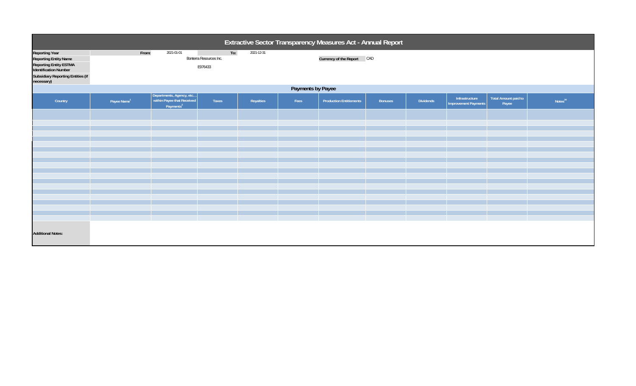| Extractive Sector Transparency Measures Act - Annual Report                                                                                                                      |                                                                                                              |                                                                                 |       |           |      |                                |                |                  |                                               |                                      |                     |
|----------------------------------------------------------------------------------------------------------------------------------------------------------------------------------|--------------------------------------------------------------------------------------------------------------|---------------------------------------------------------------------------------|-------|-----------|------|--------------------------------|----------------|------------------|-----------------------------------------------|--------------------------------------|---------------------|
| <b>Reporting Year</b><br><b>Reporting Entity Name</b><br><b>Reporting Entity ESTMA</b><br><b>Identification Number</b><br><b>Subsidiary Reporting Entities (if</b><br>necessary) | To:<br>From:<br>2021-01-01<br>2021-12-31<br>Currency of the Report CAD<br>Bonterra Resources Inc.<br>E976433 |                                                                                 |       |           |      |                                |                |                  |                                               |                                      |                     |
|                                                                                                                                                                                  | Payments by Payee                                                                                            |                                                                                 |       |           |      |                                |                |                  |                                               |                                      |                     |
| Country                                                                                                                                                                          | Payee Name <sup>1</sup>                                                                                      | Departments, Agency, etc<br>within Payee that Received<br>Payments <sup>2</sup> | Taxes | Royalties | Fees | <b>Production Entitlements</b> | <b>Bonuses</b> | <b>Dividends</b> | Infrastructure<br><b>Improvement Payments</b> | <b>Total Amount paid to</b><br>Payee | Notes <sup>34</sup> |
|                                                                                                                                                                                  |                                                                                                              |                                                                                 |       |           |      |                                |                |                  |                                               |                                      |                     |
|                                                                                                                                                                                  |                                                                                                              |                                                                                 |       |           |      |                                |                |                  |                                               |                                      |                     |
|                                                                                                                                                                                  |                                                                                                              |                                                                                 |       |           |      |                                |                |                  |                                               |                                      |                     |
|                                                                                                                                                                                  |                                                                                                              |                                                                                 |       |           |      |                                |                |                  |                                               |                                      |                     |
|                                                                                                                                                                                  |                                                                                                              |                                                                                 |       |           |      |                                |                |                  |                                               |                                      |                     |
|                                                                                                                                                                                  |                                                                                                              |                                                                                 |       |           |      |                                |                |                  |                                               |                                      |                     |
|                                                                                                                                                                                  |                                                                                                              |                                                                                 |       |           |      |                                |                |                  |                                               |                                      |                     |
|                                                                                                                                                                                  |                                                                                                              |                                                                                 |       |           |      |                                |                |                  |                                               |                                      |                     |
|                                                                                                                                                                                  |                                                                                                              |                                                                                 |       |           |      |                                |                |                  |                                               |                                      |                     |
|                                                                                                                                                                                  |                                                                                                              |                                                                                 |       |           |      |                                |                |                  |                                               |                                      |                     |
|                                                                                                                                                                                  |                                                                                                              |                                                                                 |       |           |      |                                |                |                  |                                               |                                      |                     |
|                                                                                                                                                                                  |                                                                                                              |                                                                                 |       |           |      |                                |                |                  |                                               |                                      |                     |
|                                                                                                                                                                                  |                                                                                                              |                                                                                 |       |           |      |                                |                |                  |                                               |                                      |                     |
|                                                                                                                                                                                  |                                                                                                              |                                                                                 |       |           |      |                                |                |                  |                                               |                                      |                     |
| <b>Additional Notes:</b>                                                                                                                                                         |                                                                                                              |                                                                                 |       |           |      |                                |                |                  |                                               |                                      |                     |